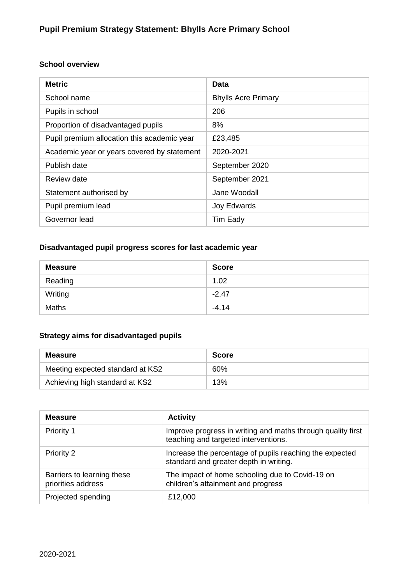#### **School overview**

| <b>Metric</b>                               | Data                       |
|---------------------------------------------|----------------------------|
| School name                                 | <b>Bhylls Acre Primary</b> |
| Pupils in school                            | 206                        |
| Proportion of disadvantaged pupils          | 8%                         |
| Pupil premium allocation this academic year | £23,485                    |
| Academic year or years covered by statement | 2020-2021                  |
| Publish date                                | September 2020             |
| Review date                                 | September 2021             |
| Statement authorised by                     | Jane Woodall               |
| Pupil premium lead                          | Joy Edwards                |
| Governor lead                               | Tim Eady                   |

### **Disadvantaged pupil progress scores for last academic year**

| <b>Measure</b> | <b>Score</b> |
|----------------|--------------|
| Reading        | 1.02         |
| Writing        | $-2.47$      |
| <b>Maths</b>   | $-4.14$      |

#### **Strategy aims for disadvantaged pupils**

| Measure                          | <b>Score</b> |
|----------------------------------|--------------|
| Meeting expected standard at KS2 | 60%          |
| Achieving high standard at KS2   | 13%          |

| <b>Measure</b>                                   | <b>Activity</b>                                                                                     |
|--------------------------------------------------|-----------------------------------------------------------------------------------------------------|
| Priority 1                                       | Improve progress in writing and maths through quality first<br>teaching and targeted interventions. |
| <b>Priority 2</b>                                | Increase the percentage of pupils reaching the expected<br>standard and greater depth in writing.   |
| Barriers to learning these<br>priorities address | The impact of home schooling due to Covid-19 on<br>children's attainment and progress               |
| Projected spending                               | £12,000                                                                                             |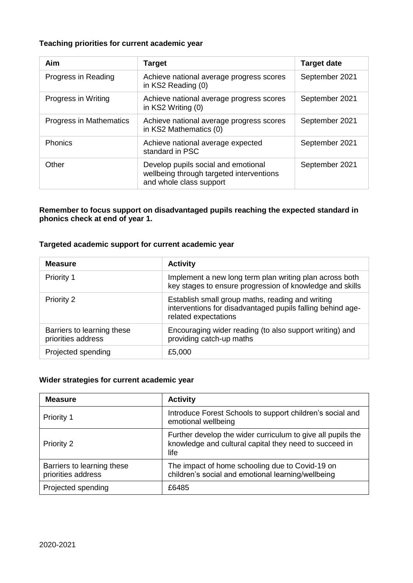#### **Teaching priorities for current academic year**

| Aim                            | <b>Target</b>                                                                                              | <b>Target date</b> |
|--------------------------------|------------------------------------------------------------------------------------------------------------|--------------------|
| Progress in Reading            | Achieve national average progress scores<br>in KS2 Reading (0)                                             | September 2021     |
| Progress in Writing            | Achieve national average progress scores<br>in KS2 Writing (0)                                             | September 2021     |
| <b>Progress in Mathematics</b> | Achieve national average progress scores<br>in KS2 Mathematics (0)                                         | September 2021     |
| <b>Phonics</b>                 | Achieve national average expected<br>standard in PSC                                                       | September 2021     |
| Other                          | Develop pupils social and emotional<br>wellbeing through targeted interventions<br>and whole class support | September 2021     |

**Remember to focus support on disadvantaged pupils reaching the expected standard in phonics check at end of year 1.**

#### **Targeted academic support for current academic year**

| <b>Measure</b>                                   | <b>Activity</b>                                                                                                                        |
|--------------------------------------------------|----------------------------------------------------------------------------------------------------------------------------------------|
| Priority 1                                       | Implement a new long term plan writing plan across both<br>key stages to ensure progression of knowledge and skills                    |
| Priority 2                                       | Establish small group maths, reading and writing<br>interventions for disadvantaged pupils falling behind age-<br>related expectations |
| Barriers to learning these<br>priorities address | Encouraging wider reading (to also support writing) and<br>providing catch-up maths                                                    |
| Projected spending                               | £5,000                                                                                                                                 |

#### **Wider strategies for current academic year**

| <b>Measure</b>                                   | <b>Activity</b>                                                                                                               |
|--------------------------------------------------|-------------------------------------------------------------------------------------------------------------------------------|
| Priority 1                                       | Introduce Forest Schools to support children's social and<br>emotional wellbeing                                              |
| Priority 2                                       | Further develop the wider curriculum to give all pupils the<br>knowledge and cultural capital they need to succeed in<br>life |
| Barriers to learning these<br>priorities address | The impact of home schooling due to Covid-19 on<br>children's social and emotional learning/wellbeing                         |
| Projected spending                               | £6485                                                                                                                         |